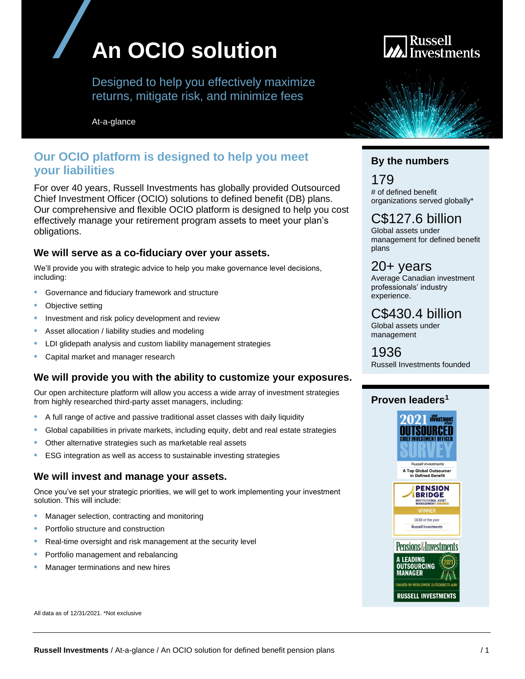# **An OCIO solution**

Designed to help you effectively maximize returns, mitigate risk, and minimize fees

At-a-glance

## **Our OCIO platform is designed to help you meet your liabilities**

For over 40 years, Russell Investments has globally provided Outsourced Chief Investment Officer (OCIO) solutions to defined benefit (DB) plans. Our comprehensive and flexible OCIO platform is designed to help you cost effectively manage your retirement program assets to meet your plan's obligations.

### **We will serve as a co-fiduciary over your assets.**

We'll provide you with strategic advice to help you make governance level decisions, including:

- Governance and fiduciary framework and structure
- Objective setting
- Investment and risk policy development and review
- Asset allocation / liability studies and modeling
- LDI glidepath analysis and custom liability management strategies
- Capital market and manager research

### **We will provide you with the ability to customize your exposures.**

Our open architecture platform will allow you access a wide array of investment strategies from highly researched third-party asset managers, including:

- A full range of active and passive traditional asset classes with daily liquidity
- Global capabilities in private markets, including equity, debt and real estate strategies
- Other alternative strategies such as marketable real assets
- ESG integration as well as access to sustainable investing strategies

### **We will invest and manage your assets.**

Once you've set your strategic priorities, we will get to work implementing your investment solution. This will include:

- Manager selection, contracting and monitoring
- Portfolio structure and construction
- Real-time oversight and risk management at the security level
- Portfolio management and rebalancing
- Manager terminations and new hires



## **By the numbers**

179 # of defined benefit organizations served globally\*

## C\$127.6 billion

Global assets under management for defined benefit plans

## 20+ years

Average Canadian investment professionals' industry experience.

## C\$430.4 billion

Global assets under management

1936 Russell Investments founded

## **Proven leaders<sup>1</sup>**



All data as of 12/31/2021. \*Not exclusive